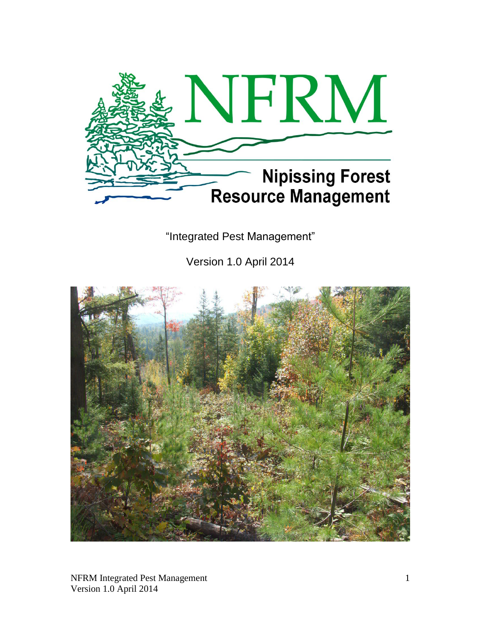

"Integrated Pest Management"

Version 1.0 April 2014

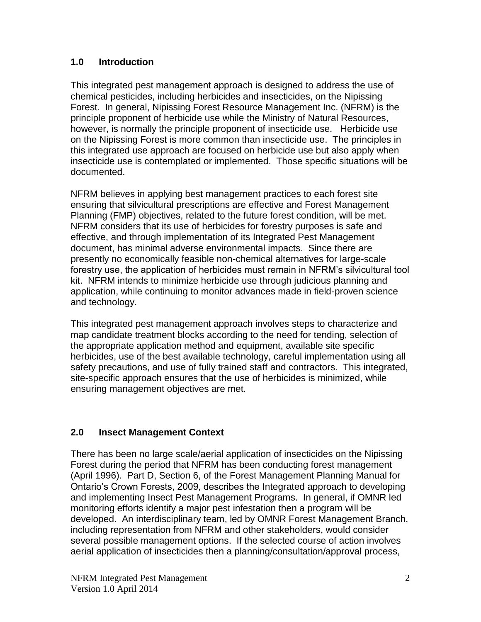## **1.0 Introduction**

This integrated pest management approach is designed to address the use of chemical pesticides, including herbicides and insecticides, on the Nipissing Forest. In general, Nipissing Forest Resource Management Inc. (NFRM) is the principle proponent of herbicide use while the Ministry of Natural Resources, however, is normally the principle proponent of insecticide use. Herbicide use on the Nipissing Forest is more common than insecticide use. The principles in this integrated use approach are focused on herbicide use but also apply when insecticide use is contemplated or implemented. Those specific situations will be documented.

NFRM believes in applying best management practices to each forest site ensuring that silvicultural prescriptions are effective and Forest Management Planning (FMP) objectives, related to the future forest condition, will be met. NFRM considers that its use of herbicides for forestry purposes is safe and effective, and through implementation of its Integrated Pest Management document, has minimal adverse environmental impacts. Since there are presently no economically feasible non-chemical alternatives for large-scale forestry use, the application of herbicides must remain in NFRM's silvicultural tool kit. NFRM intends to minimize herbicide use through judicious planning and application, while continuing to monitor advances made in field-proven science and technology.

This integrated pest management approach involves steps to characterize and map candidate treatment blocks according to the need for tending, selection of the appropriate application method and equipment, available site specific herbicides, use of the best available technology, careful implementation using all safety precautions, and use of fully trained staff and contractors. This integrated, site-specific approach ensures that the use of herbicides is minimized, while ensuring management objectives are met.

## **2.0 Insect Management Context**

There has been no large scale/aerial application of insecticides on the Nipissing Forest during the period that NFRM has been conducting forest management (April 1996). Part D, Section 6, of the Forest Management Planning Manual for Ontario's Crown Forests, 2009, describes the Integrated approach to developing and implementing Insect Pest Management Programs. In general, if OMNR led monitoring efforts identify a major pest infestation then a program will be developed. An interdisciplinary team, led by OMNR Forest Management Branch, including representation from NFRM and other stakeholders, would consider several possible management options. If the selected course of action involves aerial application of insecticides then a planning/consultation/approval process,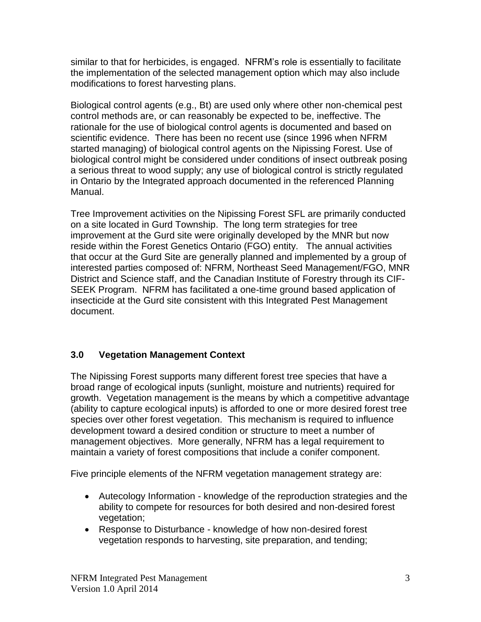similar to that for herbicides, is engaged. NFRM's role is essentially to facilitate the implementation of the selected management option which may also include modifications to forest harvesting plans.

Biological control agents (e.g., Bt) are used only where other non-chemical pest control methods are, or can reasonably be expected to be, ineffective. The rationale for the use of biological control agents is documented and based on scientific evidence. There has been no recent use (since 1996 when NFRM started managing) of biological control agents on the Nipissing Forest. Use of biological control might be considered under conditions of insect outbreak posing a serious threat to wood supply; any use of biological control is strictly regulated in Ontario by the Integrated approach documented in the referenced Planning Manual.

Tree Improvement activities on the Nipissing Forest SFL are primarily conducted on a site located in Gurd Township. The long term strategies for tree improvement at the Gurd site were originally developed by the MNR but now reside within the Forest Genetics Ontario (FGO) entity. The annual activities that occur at the Gurd Site are generally planned and implemented by a group of interested parties composed of: NFRM, Northeast Seed Management/FGO, MNR District and Science staff, and the Canadian Institute of Forestry through its CIF-SEEK Program. NFRM has facilitated a one-time ground based application of insecticide at the Gurd site consistent with this Integrated Pest Management document.

# **3.0 Vegetation Management Context**

The Nipissing Forest supports many different forest tree species that have a broad range of ecological inputs (sunlight, moisture and nutrients) required for growth. Vegetation management is the means by which a competitive advantage (ability to capture ecological inputs) is afforded to one or more desired forest tree species over other forest vegetation. This mechanism is required to influence development toward a desired condition or structure to meet a number of management objectives. More generally, NFRM has a legal requirement to maintain a variety of forest compositions that include a conifer component.

Five principle elements of the NFRM vegetation management strategy are:

- Autecology Information knowledge of the reproduction strategies and the ability to compete for resources for both desired and non-desired forest vegetation;
- Response to Disturbance knowledge of how non-desired forest vegetation responds to harvesting, site preparation, and tending;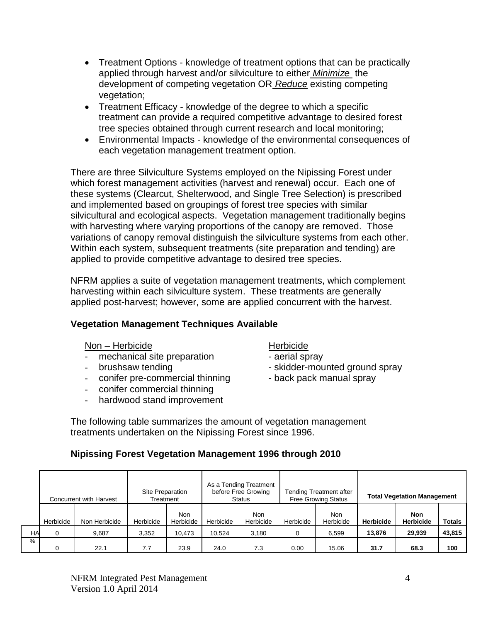- Treatment Options knowledge of treatment options that can be practically applied through harvest and/or silviculture to either *Minimize* the development of competing vegetation OR *Reduce* existing competing vegetation;
- Treatment Efficacy knowledge of the degree to which a specific treatment can provide a required competitive advantage to desired forest tree species obtained through current research and local monitoring;
- Environmental Impacts knowledge of the environmental consequences of each vegetation management treatment option.

There are three Silviculture Systems employed on the Nipissing Forest under which forest management activities (harvest and renewal) occur. Each one of these systems (Clearcut, Shelterwood, and Single Tree Selection) is prescribed and implemented based on groupings of forest tree species with similar silvicultural and ecological aspects. Vegetation management traditionally begins with harvesting where varying proportions of the canopy are removed. Those variations of canopy removal distinguish the silviculture systems from each other. Within each system, subsequent treatments (site preparation and tending) are applied to provide competitive advantage to desired tree species.

NFRM applies a suite of vegetation management treatments, which complement harvesting within each silviculture system. These treatments are generally applied post-harvest; however, some are applied concurrent with the harvest.

## **Vegetation Management Techniques Available**

#### Non – Herbicide Herbicide

- mechanical site preparation aerial spray
- 
- conifer pre-commercial thinning back pack manual spray
- conifer commercial thinning
- hardwood stand improvement

- 
- brushsaw tending example and the skidder-mounted ground spray
	-

The following table summarizes the amount of vegetation management treatments undertaken on the Nipissing Forest since 1996.

## **Nipissing Forest Vegetation Management 1996 through 2010**

|      | Concurrent with Harvest |               | Site Preparation<br>Treatment |                  | As a Tending Treatment<br>before Free Growing<br>Status |                         | Tending Treatment after<br><b>Free Growing Status</b> |                  | <b>Total Vegetation Management</b> |                         |               |
|------|-------------------------|---------------|-------------------------------|------------------|---------------------------------------------------------|-------------------------|-------------------------------------------------------|------------------|------------------------------------|-------------------------|---------------|
|      | Herbicide               | Non Herbicide | Herbicide                     | Non<br>Herbicide | Herbicide                                               | <b>Non</b><br>Herbicide | Herbicide                                             | Non<br>Herbicide | <b>Herbicide</b>                   | Non<br><b>Herbicide</b> | <b>Totals</b> |
| HA   | 0                       | 9.687         | 3,352                         | 10,473           | 10.524                                                  | 3.180                   | $\Omega$                                              | 6.599            | 13,876                             | 29,939                  | 43,815        |
| $\%$ |                         | 22.1          | 7.7                           | 23.9             | 24.0                                                    | 7.3                     | 0.00                                                  | 15.06            | 31.7                               | 68.3                    | 100           |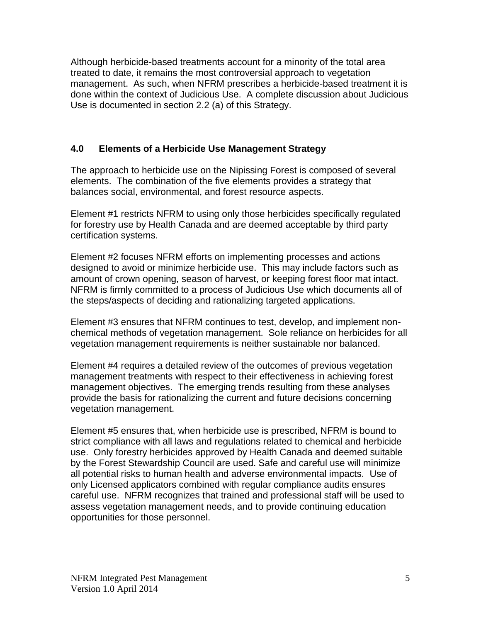Although herbicide-based treatments account for a minority of the total area treated to date, it remains the most controversial approach to vegetation management. As such, when NFRM prescribes a herbicide-based treatment it is done within the context of Judicious Use. A complete discussion about Judicious Use is documented in section 2.2 (a) of this Strategy.

## **4.0 Elements of a Herbicide Use Management Strategy**

The approach to herbicide use on the Nipissing Forest is composed of several elements. The combination of the five elements provides a strategy that balances social, environmental, and forest resource aspects.

Element #1 restricts NFRM to using only those herbicides specifically regulated for forestry use by Health Canada and are deemed acceptable by third party certification systems.

Element #2 focuses NFRM efforts on implementing processes and actions designed to avoid or minimize herbicide use. This may include factors such as amount of crown opening, season of harvest, or keeping forest floor mat intact. NFRM is firmly committed to a process of Judicious Use which documents all of the steps/aspects of deciding and rationalizing targeted applications.

Element #3 ensures that NFRM continues to test, develop, and implement nonchemical methods of vegetation management. Sole reliance on herbicides for all vegetation management requirements is neither sustainable nor balanced.

Element #4 requires a detailed review of the outcomes of previous vegetation management treatments with respect to their effectiveness in achieving forest management objectives. The emerging trends resulting from these analyses provide the basis for rationalizing the current and future decisions concerning vegetation management.

Element #5 ensures that, when herbicide use is prescribed, NFRM is bound to strict compliance with all laws and regulations related to chemical and herbicide use. Only forestry herbicides approved by Health Canada and deemed suitable by the Forest Stewardship Council are used. Safe and careful use will minimize all potential risks to human health and adverse environmental impacts. Use of only Licensed applicators combined with regular compliance audits ensures careful use. NFRM recognizes that trained and professional staff will be used to assess vegetation management needs, and to provide continuing education opportunities for those personnel.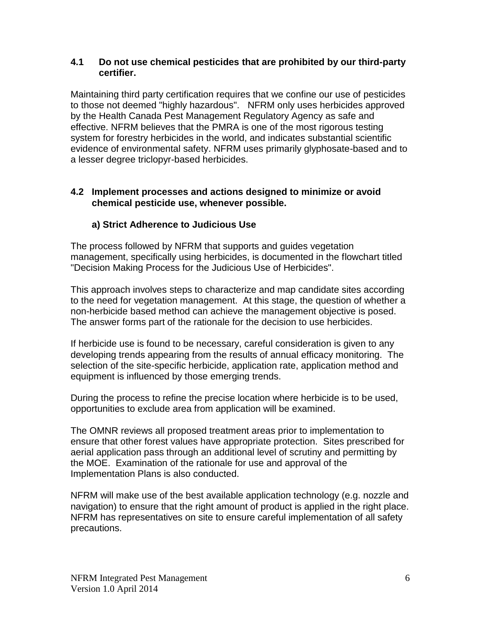#### **4.1 Do not use chemical pesticides that are prohibited by our third-party certifier.**

Maintaining third party certification requires that we confine our use of pesticides to those not deemed "highly hazardous". NFRM only uses herbicides approved by the Health Canada Pest Management Regulatory Agency as safe and effective. NFRM believes that the PMRA is one of the most rigorous testing system for forestry herbicides in the world, and indicates substantial scientific evidence of environmental safety. NFRM uses primarily glyphosate-based and to a lesser degree triclopyr-based herbicides.

## **4.2 Implement processes and actions designed to minimize or avoid chemical pesticide use, whenever possible.**

## **a) Strict Adherence to Judicious Use**

The process followed by NFRM that supports and guides vegetation management, specifically using herbicides, is documented in the flowchart titled "Decision Making Process for the Judicious Use of Herbicides".

This approach involves steps to characterize and map candidate sites according to the need for vegetation management. At this stage, the question of whether a non-herbicide based method can achieve the management objective is posed. The answer forms part of the rationale for the decision to use herbicides.

If herbicide use is found to be necessary, careful consideration is given to any developing trends appearing from the results of annual efficacy monitoring. The selection of the site-specific herbicide, application rate, application method and equipment is influenced by those emerging trends.

During the process to refine the precise location where herbicide is to be used, opportunities to exclude area from application will be examined.

The OMNR reviews all proposed treatment areas prior to implementation to ensure that other forest values have appropriate protection. Sites prescribed for aerial application pass through an additional level of scrutiny and permitting by the MOE. Examination of the rationale for use and approval of the Implementation Plans is also conducted.

NFRM will make use of the best available application technology (e.g. nozzle and navigation) to ensure that the right amount of product is applied in the right place. NFRM has representatives on site to ensure careful implementation of all safety precautions.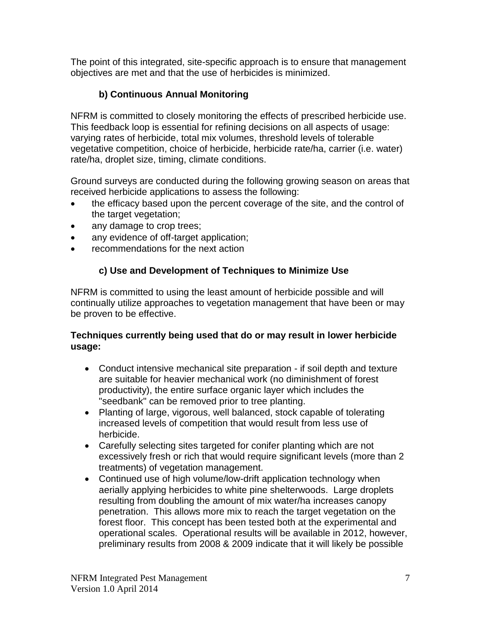The point of this integrated, site-specific approach is to ensure that management objectives are met and that the use of herbicides is minimized.

# **b) Continuous Annual Monitoring**

NFRM is committed to closely monitoring the effects of prescribed herbicide use. This feedback loop is essential for refining decisions on all aspects of usage: varying rates of herbicide, total mix volumes, threshold levels of tolerable vegetative competition, choice of herbicide, herbicide rate/ha, carrier (i.e. water) rate/ha, droplet size, timing, climate conditions.

Ground surveys are conducted during the following growing season on areas that received herbicide applications to assess the following:

- the efficacy based upon the percent coverage of the site, and the control of the target vegetation;
- any damage to crop trees;
- any evidence of off-target application;
- recommendations for the next action

# **c) Use and Development of Techniques to Minimize Use**

NFRM is committed to using the least amount of herbicide possible and will continually utilize approaches to vegetation management that have been or may be proven to be effective.

## **Techniques currently being used that do or may result in lower herbicide usage:**

- Conduct intensive mechanical site preparation if soil depth and texture are suitable for heavier mechanical work (no diminishment of forest productivity), the entire surface organic layer which includes the "seedbank" can be removed prior to tree planting.
- Planting of large, vigorous, well balanced, stock capable of tolerating increased levels of competition that would result from less use of herbicide.
- Carefully selecting sites targeted for conifer planting which are not excessively fresh or rich that would require significant levels (more than 2 treatments) of vegetation management.
- Continued use of high volume/low-drift application technology when aerially applying herbicides to white pine shelterwoods. Large droplets resulting from doubling the amount of mix water/ha increases canopy penetration. This allows more mix to reach the target vegetation on the forest floor. This concept has been tested both at the experimental and operational scales. Operational results will be available in 2012, however, preliminary results from 2008 & 2009 indicate that it will likely be possible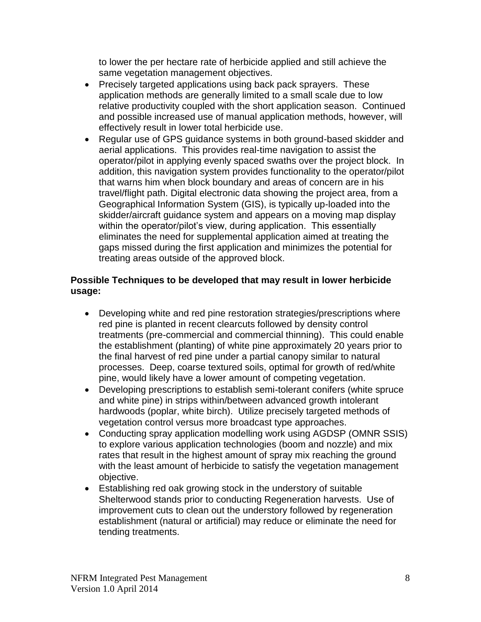to lower the per hectare rate of herbicide applied and still achieve the same vegetation management objectives.

- Precisely targeted applications using back pack sprayers. These application methods are generally limited to a small scale due to low relative productivity coupled with the short application season. Continued and possible increased use of manual application methods, however, will effectively result in lower total herbicide use.
- Regular use of GPS guidance systems in both ground-based skidder and aerial applications. This provides real-time navigation to assist the operator/pilot in applying evenly spaced swaths over the project block. In addition, this navigation system provides functionality to the operator/pilot that warns him when block boundary and areas of concern are in his travel/flight path. Digital electronic data showing the project area, from a Geographical Information System (GIS), is typically up-loaded into the skidder/aircraft guidance system and appears on a moving map display within the operator/pilot's view, during application. This essentially eliminates the need for supplemental application aimed at treating the gaps missed during the first application and minimizes the potential for treating areas outside of the approved block.

## **Possible Techniques to be developed that may result in lower herbicide usage:**

- Developing white and red pine restoration strategies/prescriptions where red pine is planted in recent clearcuts followed by density control treatments (pre-commercial and commercial thinning). This could enable the establishment (planting) of white pine approximately 20 years prior to the final harvest of red pine under a partial canopy similar to natural processes. Deep, coarse textured soils, optimal for growth of red/white pine, would likely have a lower amount of competing vegetation.
- Developing prescriptions to establish semi-tolerant conifers (white spruce and white pine) in strips within/between advanced growth intolerant hardwoods (poplar, white birch). Utilize precisely targeted methods of vegetation control versus more broadcast type approaches.
- Conducting spray application modelling work using AGDSP (OMNR SSIS) to explore various application technologies (boom and nozzle) and mix rates that result in the highest amount of spray mix reaching the ground with the least amount of herbicide to satisfy the vegetation management objective.
- Establishing red oak growing stock in the understory of suitable Shelterwood stands prior to conducting Regeneration harvests. Use of improvement cuts to clean out the understory followed by regeneration establishment (natural or artificial) may reduce or eliminate the need for tending treatments.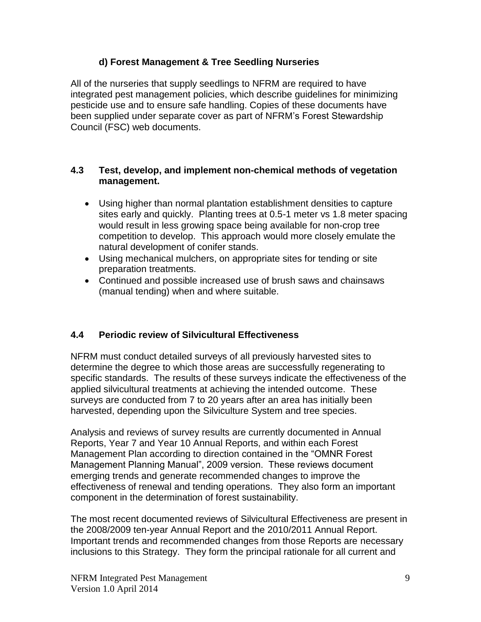## **d) Forest Management & Tree Seedling Nurseries**

All of the nurseries that supply seedlings to NFRM are required to have integrated pest management policies, which describe guidelines for minimizing pesticide use and to ensure safe handling. Copies of these documents have been supplied under separate cover as part of NFRM's Forest Stewardship Council (FSC) web documents.

#### **4.3 Test, develop, and implement non-chemical methods of vegetation management.**

- Using higher than normal plantation establishment densities to capture sites early and quickly. Planting trees at 0.5-1 meter vs 1.8 meter spacing would result in less growing space being available for non-crop tree competition to develop. This approach would more closely emulate the natural development of conifer stands.
- Using mechanical mulchers, on appropriate sites for tending or site preparation treatments.
- Continued and possible increased use of brush saws and chainsaws (manual tending) when and where suitable.

## **4.4 Periodic review of Silvicultural Effectiveness**

NFRM must conduct detailed surveys of all previously harvested sites to determine the degree to which those areas are successfully regenerating to specific standards. The results of these surveys indicate the effectiveness of the applied silvicultural treatments at achieving the intended outcome. These surveys are conducted from 7 to 20 years after an area has initially been harvested, depending upon the Silviculture System and tree species.

Analysis and reviews of survey results are currently documented in Annual Reports, Year 7 and Year 10 Annual Reports, and within each Forest Management Plan according to direction contained in the "OMNR Forest Management Planning Manual", 2009 version. These reviews document emerging trends and generate recommended changes to improve the effectiveness of renewal and tending operations. They also form an important component in the determination of forest sustainability.

The most recent documented reviews of Silvicultural Effectiveness are present in the 2008/2009 ten-year Annual Report and the 2010/2011 Annual Report. Important trends and recommended changes from those Reports are necessary inclusions to this Strategy. They form the principal rationale for all current and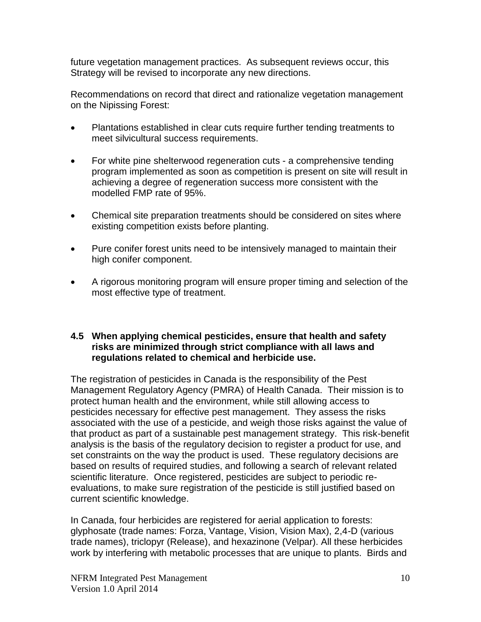future vegetation management practices. As subsequent reviews occur, this Strategy will be revised to incorporate any new directions.

Recommendations on record that direct and rationalize vegetation management on the Nipissing Forest:

- Plantations established in clear cuts require further tending treatments to meet silvicultural success requirements.
- For white pine shelterwood regeneration cuts a comprehensive tending program implemented as soon as competition is present on site will result in achieving a degree of regeneration success more consistent with the modelled FMP rate of 95%.
- Chemical site preparation treatments should be considered on sites where existing competition exists before planting.
- Pure conifer forest units need to be intensively managed to maintain their high conifer component.
- A rigorous monitoring program will ensure proper timing and selection of the most effective type of treatment.

#### **4.5 When applying chemical pesticides, ensure that health and safety risks are minimized through strict compliance with all laws and regulations related to chemical and herbicide use.**

The registration of pesticides in Canada is the responsibility of the Pest Management Regulatory Agency (PMRA) of Health Canada. Their mission is to protect human health and the environment, while still allowing access to pesticides necessary for effective pest management. They assess the risks associated with the use of a pesticide, and weigh those risks against the value of that product as part of a sustainable pest management strategy. This risk-benefit analysis is the basis of the regulatory decision to register a product for use, and set constraints on the way the product is used. These regulatory decisions are based on results of required studies, and following a search of relevant related scientific literature. Once registered, pesticides are subject to periodic reevaluations, to make sure registration of the pesticide is still justified based on current scientific knowledge.

In Canada, four herbicides are registered for aerial application to forests: glyphosate (trade names: Forza, Vantage, Vision, Vision Max), 2,4-D (various trade names), triclopyr (Release), and hexazinone (Velpar). All these herbicides work by interfering with metabolic processes that are unique to plants. Birds and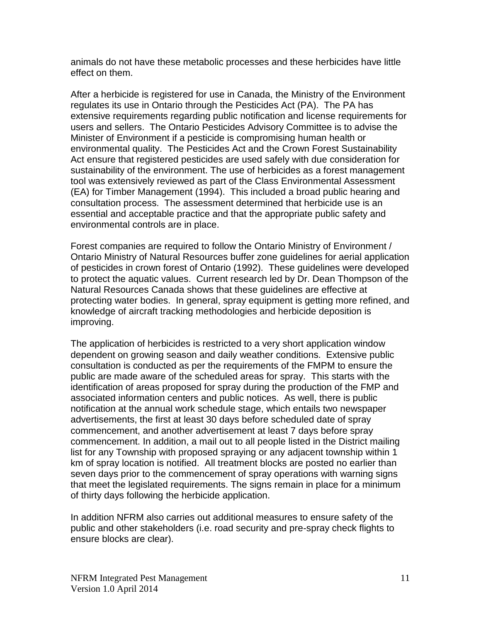animals do not have these metabolic processes and these herbicides have little effect on them.

After a herbicide is registered for use in Canada, the Ministry of the Environment regulates its use in Ontario through the Pesticides Act (PA). The PA has extensive requirements regarding public notification and license requirements for users and sellers. The Ontario Pesticides Advisory Committee is to advise the Minister of Environment if a pesticide is compromising human health or environmental quality. The Pesticides Act and the Crown Forest Sustainability Act ensure that registered pesticides are used safely with due consideration for sustainability of the environment. The use of herbicides as a forest management tool was extensively reviewed as part of the Class Environmental Assessment (EA) for Timber Management (1994). This included a broad public hearing and consultation process. The assessment determined that herbicide use is an essential and acceptable practice and that the appropriate public safety and environmental controls are in place.

Forest companies are required to follow the Ontario Ministry of Environment / Ontario Ministry of Natural Resources buffer zone guidelines for aerial application of pesticides in crown forest of Ontario (1992). These guidelines were developed to protect the aquatic values. Current research led by Dr. Dean Thompson of the Natural Resources Canada shows that these guidelines are effective at protecting water bodies. In general, spray equipment is getting more refined, and knowledge of aircraft tracking methodologies and herbicide deposition is improving.

The application of herbicides is restricted to a very short application window dependent on growing season and daily weather conditions. Extensive public consultation is conducted as per the requirements of the FMPM to ensure the public are made aware of the scheduled areas for spray. This starts with the identification of areas proposed for spray during the production of the FMP and associated information centers and public notices. As well, there is public notification at the annual work schedule stage, which entails two newspaper advertisements, the first at least 30 days before scheduled date of spray commencement, and another advertisement at least 7 days before spray commencement. In addition, a mail out to all people listed in the District mailing list for any Township with proposed spraying or any adjacent township within 1 km of spray location is notified. All treatment blocks are posted no earlier than seven days prior to the commencement of spray operations with warning signs that meet the legislated requirements. The signs remain in place for a minimum of thirty days following the herbicide application.

In addition NFRM also carries out additional measures to ensure safety of the public and other stakeholders (i.e. road security and pre-spray check flights to ensure blocks are clear).